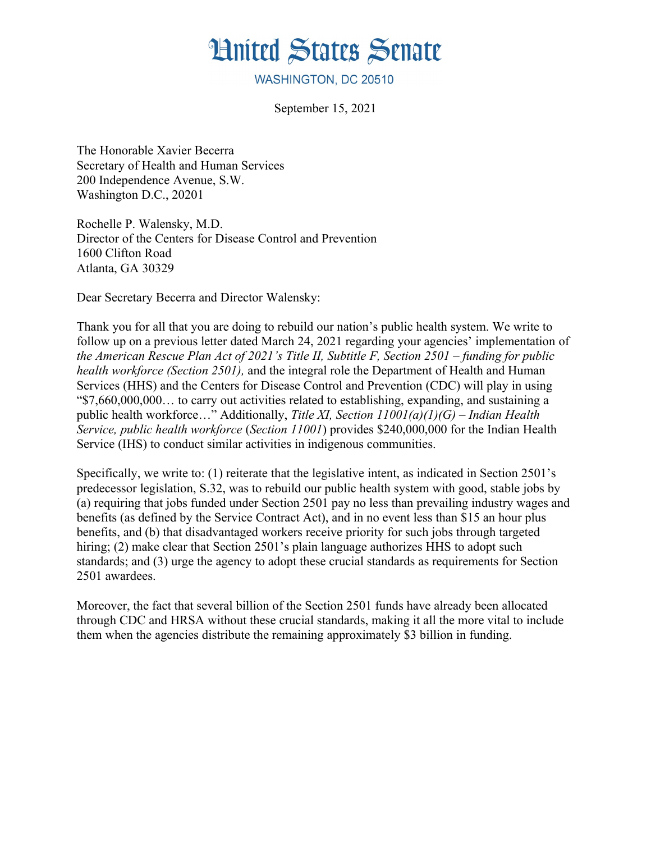# **Hnited States Senate**

WASHINGTON, DC 20510

September 15, 2021

The Honorable Xavier Becerra Secretary of Health and Human Services 200 Independence Avenue, S.W. Washington D.C., 20201

Rochelle P. Walensky, M.D. Director of the Centers for Disease Control and Prevention 1600 Clifton Road Atlanta, GA 30329

Dear Secretary Becerra and Director Walensky:

Thank you for all that you are doing to rebuild our nation's public health system. We write to follow up on a previous letter dated March 24, 2021 regarding your agencies' implementation of *the American Rescue Plan Act of 2021's Title II, Subtitle F, Section 2501 – funding for public health workforce (Section 2501),* and the integral role the Department of Health and Human Services (HHS) and the Centers for Disease Control and Prevention (CDC) will play in using "\$7,660,000,000… to carry out activities related to establishing, expanding, and sustaining a public health workforce…" Additionally, *Title XI, Section 11001(a)(1)(G) – Indian Health Service, public health workforce* (*Section 11001*) provides \$240,000,000 for the Indian Health Service (IHS) to conduct similar activities in indigenous communities.

Specifically, we write to: (1) reiterate that the legislative intent, as indicated in Section 2501's predecessor legislation, S.32, was to rebuild our public health system with good, stable jobs by (a) requiring that jobs funded under Section 2501 pay no less than prevailing industry wages and benefits (as defined by the Service Contract Act), and in no event less than \$15 an hour plus benefits, and (b) that disadvantaged workers receive priority for such jobs through targeted hiring; (2) make clear that Section 2501's plain language authorizes HHS to adopt such standards; and (3) urge the agency to adopt these crucial standards as requirements for Section 2501 awardees.

Moreover, the fact that several billion of the Section 2501 funds have already been allocated through CDC and HRSA without these crucial standards, making it all the more vital to include them when the agencies distribute the remaining approximately \$3 billion in funding.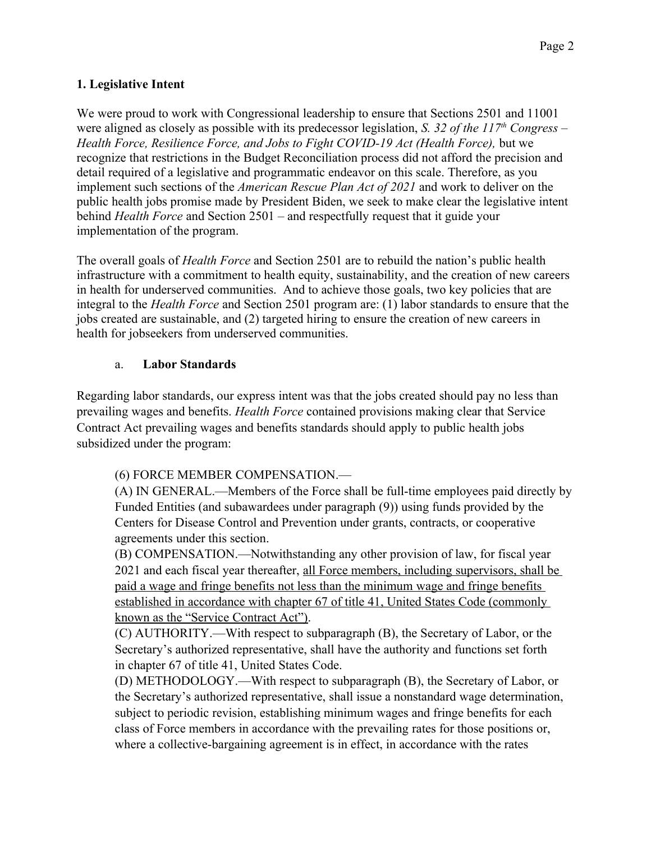### **1. Legislative Intent**

We were proud to work with Congressional leadership to ensure that Sections 2501 and 11001 were aligned as closely as possible with its predecessor legislation, *S. 32 of the 117th Congress* – *Health Force, Resilience Force, and Jobs to Fight COVID-19 Act (Health Force),* but we recognize that restrictions in the Budget Reconciliation process did not afford the precision and detail required of a legislative and programmatic endeavor on this scale. Therefore, as you implement such sections of the *American Rescue Plan Act of 2021* and work to deliver on the public health jobs promise made by President Biden, we seek to make clear the legislative intent behind *Health Force* and Section 2501 – and respectfully request that it guide your implementation of the program.

The overall goals of *Health Force* and Section 2501 are to rebuild the nation's public health infrastructure with a commitment to health equity, sustainability, and the creation of new careers in health for underserved communities. And to achieve those goals, two key policies that are integral to the *Health Force* and Section 2501 program are: (1) labor standards to ensure that the jobs created are sustainable, and (2) targeted hiring to ensure the creation of new careers in health for jobseekers from underserved communities.

### a. **Labor Standards**

Regarding labor standards, our express intent was that the jobs created should pay no less than prevailing wages and benefits. *Health Force* contained provisions making clear that Service Contract Act prevailing wages and benefits standards should apply to public health jobs subsidized under the program:

# (6) FORCE MEMBER COMPENSATION.—

(A) IN GENERAL.—Members of the Force shall be full-time employees paid directly by Funded Entities (and subawardees under paragraph (9)) using funds provided by the Centers for Disease Control and Prevention under grants, contracts, or cooperative agreements under this section.

(B) COMPENSATION.—Notwithstanding any other provision of law, for fiscal year 2021 and each fiscal year thereafter, all Force members, including supervisors, shall be paid a wage and fringe benefits not less than the minimum wage and fringe benefits established in accordance with chapter 67 of title 41, United States Code (commonly known as the "Service Contract Act").

(C) AUTHORITY.—With respect to subparagraph (B), the Secretary of Labor, or the Secretary's authorized representative, shall have the authority and functions set forth in chapter 67 of title 41, United States Code.

(D) METHODOLOGY.—With respect to subparagraph (B), the Secretary of Labor, or the Secretary's authorized representative, shall issue a nonstandard wage determination, subject to periodic revision, establishing minimum wages and fringe benefits for each class of Force members in accordance with the prevailing rates for those positions or, where a collective-bargaining agreement is in effect, in accordance with the rates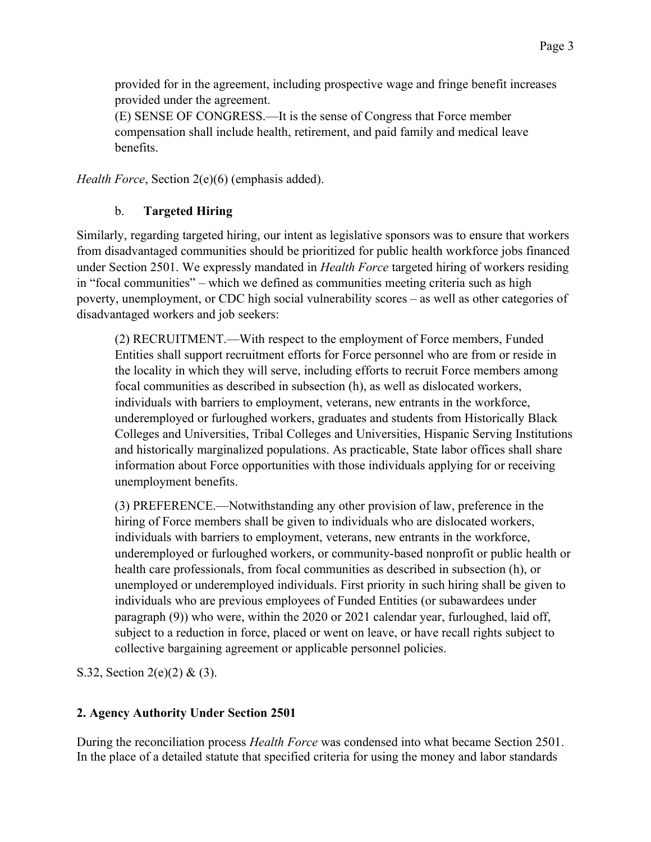provided for in the agreement, including prospective wage and fringe benefit increases provided under the agreement.

(E) SENSE OF CONGRESS.—It is the sense of Congress that Force member compensation shall include health, retirement, and paid family and medical leave benefits.

*Health Force*, Section 2(e)(6) (emphasis added).

# b. **Targeted Hiring**

Similarly, regarding targeted hiring, our intent as legislative sponsors was to ensure that workers from disadvantaged communities should be prioritized for public health workforce jobs financed under Section 2501. We expressly mandated in *Health Force* targeted hiring of workers residing in "focal communities" – which we defined as communities meeting criteria such as high poverty, unemployment, or CDC high social vulnerability scores – as well as other categories of disadvantaged workers and job seekers:

(2) RECRUITMENT.—With respect to the employment of Force members, Funded Entities shall support recruitment efforts for Force personnel who are from or reside in the locality in which they will serve, including efforts to recruit Force members among focal communities as described in subsection (h), as well as dislocated workers, individuals with barriers to employment, veterans, new entrants in the workforce, underemployed or furloughed workers, graduates and students from Historically Black Colleges and Universities, Tribal Colleges and Universities, Hispanic Serving Institutions and historically marginalized populations. As practicable, State labor offices shall share information about Force opportunities with those individuals applying for or receiving unemployment benefits.

(3) PREFERENCE.—Notwithstanding any other provision of law, preference in the hiring of Force members shall be given to individuals who are dislocated workers, individuals with barriers to employment, veterans, new entrants in the workforce, underemployed or furloughed workers, or community-based nonprofit or public health or health care professionals, from focal communities as described in subsection (h), or unemployed or underemployed individuals. First priority in such hiring shall be given to individuals who are previous employees of Funded Entities (or subawardees under paragraph (9)) who were, within the 2020 or 2021 calendar year, furloughed, laid off, subject to a reduction in force, placed or went on leave, or have recall rights subject to collective bargaining agreement or applicable personnel policies.

S.32, Section 2(e)(2) & (3).

# **2. Agency Authority Under Section 2501**

During the reconciliation process *Health Force* was condensed into what became Section 2501. In the place of a detailed statute that specified criteria for using the money and labor standards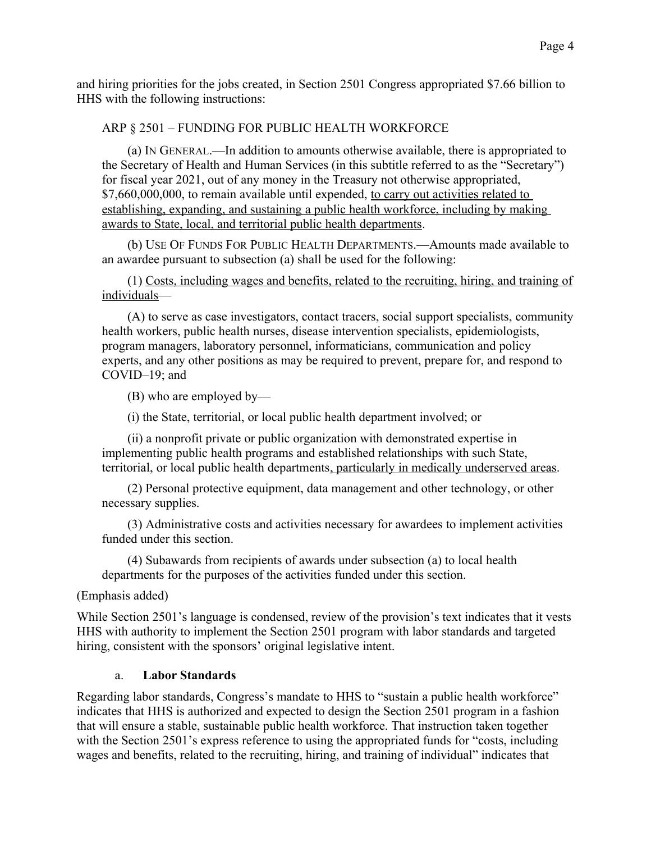and hiring priorities for the jobs created, in Section 2501 Congress appropriated \$7.66 billion to HHS with the following instructions:

#### ARP § 2501 – FUNDING FOR PUBLIC HEALTH WORKFORCE

(a) IN GENERAL.—In addition to amounts otherwise available, there is appropriated to the Secretary of Health and Human Services (in this subtitle referred to as the "Secretary") for fiscal year 2021, out of any money in the Treasury not otherwise appropriated, \$7,660,000,000, to remain available until expended, to carry out activities related to establishing, expanding, and sustaining a public health workforce, including by making awards to State, local, and territorial public health departments.

(b) USE OF FUNDS FOR PUBLIC HEALTH DEPARTMENTS.—Amounts made available to an awardee pursuant to subsection (a) shall be used for the following:

(1) Costs, including wages and benefits, related to the recruiting, hiring, and training of individuals—

(A) to serve as case investigators, contact tracers, social support specialists, community health workers, public health nurses, disease intervention specialists, epidemiologists, program managers, laboratory personnel, informaticians, communication and policy experts, and any other positions as may be required to prevent, prepare for, and respond to COVID–19; and

(B) who are employed by—

(i) the State, territorial, or local public health department involved; or

(ii) a nonprofit private or public organization with demonstrated expertise in implementing public health programs and established relationships with such State, territorial, or local public health departments, particularly in medically underserved areas.

(2) Personal protective equipment, data management and other technology, or other necessary supplies.

(3) Administrative costs and activities necessary for awardees to implement activities funded under this section.

(4) Subawards from recipients of awards under subsection (a) to local health departments for the purposes of the activities funded under this section.

(Emphasis added)

While Section 2501's language is condensed, review of the provision's text indicates that it vests HHS with authority to implement the Section 2501 program with labor standards and targeted hiring, consistent with the sponsors' original legislative intent.

#### a. **Labor Standards**

Regarding labor standards, Congress's mandate to HHS to "sustain a public health workforce" indicates that HHS is authorized and expected to design the Section 2501 program in a fashion that will ensure a stable, sustainable public health workforce. That instruction taken together with the Section 2501's express reference to using the appropriated funds for "costs, including wages and benefits, related to the recruiting, hiring, and training of individual" indicates that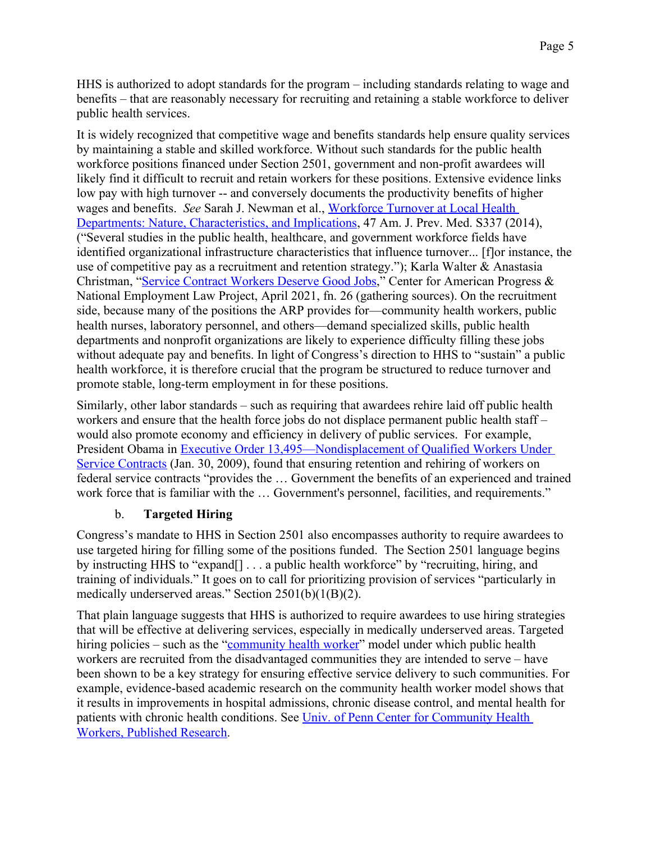HHS is authorized to adopt standards for the program – including standards relating to wage and benefits – that are reasonably necessary for recruiting and retaining a stable workforce to deliver public health services.

It is widely recognized that competitive wage and benefits standards help ensure quality services by maintaining a stable and skilled workforce. Without such standards for the public health workforce positions financed under Section 2501, government and non-profit awardees will likely find it difficult to recruit and retain workers for these positions. Extensive evidence links low pay with high turnover -- and conversely documents the productivity benefits of higher wages and benefits. *See* Sarah J. Newman et al., Workforce Turnover at Local Health Departments: Nature, Characteristics, and Implications, 47 Am. J. Prev. Med. S337 (2014), ("Several studies in the public health, healthcare, and government workforce fields have identified organizational infrastructure characteristics that influence turnover... [f]or instance, the use of competitive pay as a recruitment and retention strategy."); Karla Walter & Anastasia Christman, "Service Contract Workers Deserve Good Jobs," Center for American Progress & National Employment Law Project, April 2021, fn. 26 (gathering sources). On the recruitment side, because many of the positions the ARP provides for—community health workers, public health nurses, laboratory personnel, and others—demand specialized skills, public health departments and nonprofit organizations are likely to experience difficulty filling these jobs without adequate pay and benefits. In light of Congress's direction to HHS to "sustain" a public health workforce, it is therefore crucial that the program be structured to reduce turnover and promote stable, long-term employment in for these positions.

Similarly, other labor standards – such as requiring that awardees rehire laid off public health workers and ensure that the health force jobs do not displace permanent public health staff – would also promote economy and efficiency in delivery of public services. For example, President Obama in Executive Order 13,495—Nondisplacement of Qualified Workers Under Service Contracts (Jan. 30, 2009), found that ensuring retention and rehiring of workers on federal service contracts "provides the … Government the benefits of an experienced and trained work force that is familiar with the ... Government's personnel, facilities, and requirements."

# b. **Targeted Hiring**

Congress's mandate to HHS in Section 2501 also encompasses authority to require awardees to use targeted hiring for filling some of the positions funded. The Section 2501 language begins by instructing HHS to "expand[] . . . a public health workforce" by "recruiting, hiring, and training of individuals." It goes on to call for prioritizing provision of services "particularly in medically underserved areas." Section 2501(b)(1(B)(2).

That plain language suggests that HHS is authorized to require awardees to use hiring strategies that will be effective at delivering services, especially in medically underserved areas. Targeted hiring policies – such as the "community health worker" model under which public health workers are recruited from the disadvantaged communities they are intended to serve – have been shown to be a key strategy for ensuring effective service delivery to such communities. For example, evidence-based academic research on the community health worker model shows that it results in improvements in hospital admissions, chronic disease control, and mental health for patients with chronic health conditions. See Univ. of Penn Center for Community Health Workers, Published Research.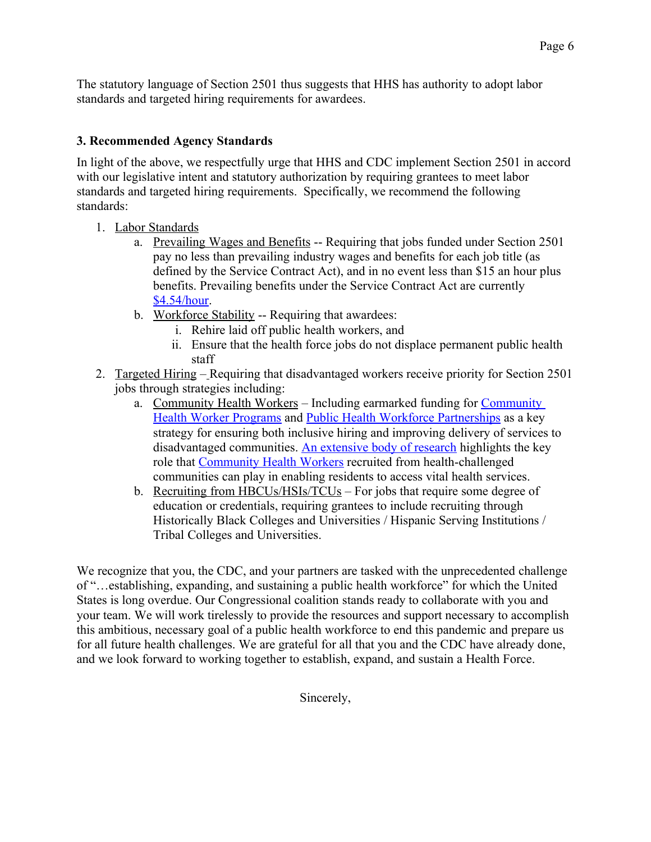The statutory language of Section 2501 thus suggests that HHS has authority to adopt labor standards and targeted hiring requirements for awardees.

### **3. Recommended Agency Standards**

In light of the above, we respectfully urge that HHS and CDC implement Section 2501 in accord with our legislative intent and statutory authorization by requiring grantees to meet labor standards and targeted hiring requirements. Specifically, we recommend the following standards:

- 1. Labor Standards
	- a. Prevailing Wages and Benefits -- Requiring that jobs funded under Section 2501 pay no less than prevailing industry wages and benefits for each job title (as defined by the Service Contract Act), and in no event less than \$15 an hour plus benefits. Prevailing benefits under the Service Contract Act are currently \$4.54/hour.
	- b. Workforce Stability -- Requiring that awardees:
		- i. Rehire laid off public health workers, and
		- ii. Ensure that the health force jobs do not displace permanent public health staff
- 2. Targeted Hiring Requiring that disadvantaged workers receive priority for Section 2501 jobs through strategies including:
	- a. Community Health Workers Including earmarked funding for Community Health Worker Programs and Public Health Workforce Partnerships as a key strategy for ensuring both inclusive hiring and improving delivery of services to disadvantaged communities. An extensive body of research highlights the key role that Community Health Workers recruited from health-challenged communities can play in enabling residents to access vital health services.
	- b. Recruiting from HBCUs/HSIs/TCUs For jobs that require some degree of education or credentials, requiring grantees to include recruiting through Historically Black Colleges and Universities / Hispanic Serving Institutions / Tribal Colleges and Universities.

We recognize that you, the CDC, and your partners are tasked with the unprecedented challenge of "…establishing, expanding, and sustaining a public health workforce" for which the United States is long overdue. Our Congressional coalition stands ready to collaborate with you and your team. We will work tirelessly to provide the resources and support necessary to accomplish this ambitious, necessary goal of a public health workforce to end this pandemic and prepare us for all future health challenges. We are grateful for all that you and the CDC have already done, and we look forward to working together to establish, expand, and sustain a Health Force.

Sincerely,